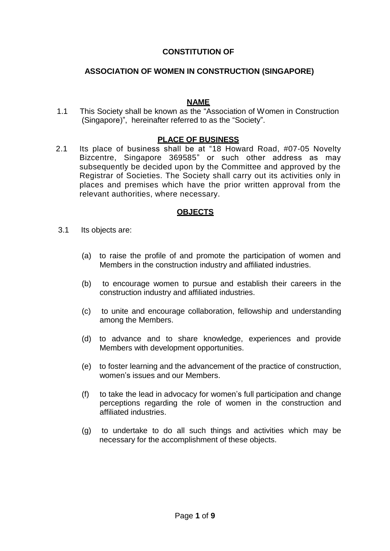## **CONSTITUTION OF**

### **ASSOCIATION OF WOMEN IN CONSTRUCTION (SINGAPORE)**

#### **NAME**

1.1 This Society shall be known as the "Association of Women in Construction (Singapore)", hereinafter referred to as the "Society".

#### **PLACE OF BUSINESS**

2.1 Its place of business shall be at "18 Howard Road, #07-05 Novelty Bizcentre, Singapore 369585" or such other address as may subsequently be decided upon by the Committee and approved by the Registrar of Societies. The Society shall carry out its activities only in places and premises which have the prior written approval from the relevant authorities, where necessary.

### **OBJECTS**

- 3.1 Its objects are:
	- (a) to raise the profile of and promote the participation of women and Members in the construction industry and affiliated industries.
	- (b) to encourage women to pursue and establish their careers in the construction industry and affiliated industries.
	- (c) to unite and encourage collaboration, fellowship and understanding among the Members.
	- (d) to advance and to share knowledge, experiences and provide Members with development opportunities.
	- (e) to foster learning and the advancement of the practice of construction, women's issues and our Members.
	- (f) to take the lead in advocacy for women's full participation and change perceptions regarding the role of women in the construction and affiliated industries.
	- (g) to undertake to do all such things and activities which may be necessary for the accomplishment of these objects.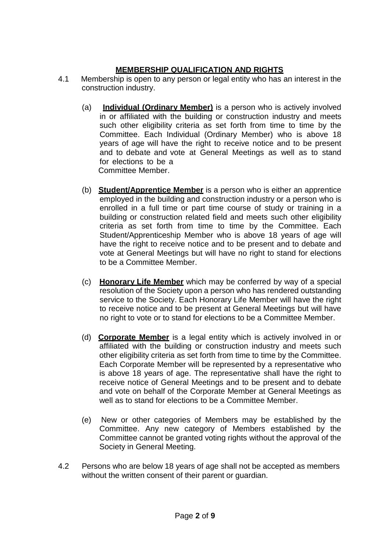# **MEMBERSHIP QUALIFICATION AND RIGHTS**

- 4.1 Membership is open to any person or legal entity who has an interest in the construction industry.
	- (a) **Individual (Ordinary Member)** is a person who is actively involved in or affiliated with the building or construction industry and meets such other eligibility criteria as set forth from time to time by the Committee. Each Individual (Ordinary Member) who is above 18 years of age will have the right to receive notice and to be present and to debate and vote at General Meetings as well as to stand for elections to be a Committee Member.
	- (b) **Student/Apprentice Member** is a person who is either an apprentice employed in the building and construction industry or a person who is enrolled in a full time or part time course of study or training in a building or construction related field and meets such other eligibility criteria as set forth from time to time by the Committee. Each Student/Apprenticeship Member who is above 18 years of age will have the right to receive notice and to be present and to debate and vote at General Meetings but will have no right to stand for elections to be a Committee Member.
	- (c) **Honorary Life Member** which may be conferred by way of a special resolution of the Society upon a person who has rendered outstanding service to the Society. Each Honorary Life Member will have the right to receive notice and to be present at General Meetings but will have no right to vote or to stand for elections to be a Committee Member.
	- (d) **Corporate Member** is a legal entity which is actively involved in or affiliated with the building or construction industry and meets such other eligibility criteria as set forth from time to time by the Committee. Each Corporate Member will be represented by a representative who is above 18 years of age. The representative shall have the right to receive notice of General Meetings and to be present and to debate and vote on behalf of the Corporate Member at General Meetings as well as to stand for elections to be a Committee Member.
	- (e) New or other categories of Members may be established by the Committee. Any new category of Members established by the Committee cannot be granted voting rights without the approval of the Society in General Meeting.
- 4.2 Persons who are below 18 years of age shall not be accepted as members without the written consent of their parent or guardian.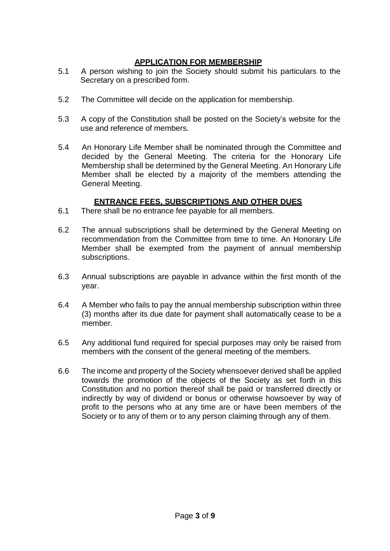## **APPLICATION FOR MEMBERSHIP**

- 5.1 A person wishing to join the Society should submit his particulars to the Secretary on a prescribed form.
- 5.2 The Committee will decide on the application for membership.
- 5.3 A copy of the Constitution shall be posted on the Society's website for the use and reference of members.
- 5.4 An Honorary Life Member shall be nominated through the Committee and decided by the General Meeting. The criteria for the Honorary Life Membership shall be determined by the General Meeting. An Honorary Life Member shall be elected by a majority of the members attending the General Meeting.

## **ENTRANCE FEES, SUBSCRIPTIONS AND OTHER DUES**

- 6.1 There shall be no entrance fee payable for all members.
- 6.2 The annual subscriptions shall be determined by the General Meeting on recommendation from the Committee from time to time. An Honorary Life Member shall be exempted from the payment of annual membership subscriptions.
- 6.3 Annual subscriptions are payable in advance within the first month of the year.
- 6.4 A Member who fails to pay the annual membership subscription within three (3) months after its due date for payment shall automatically cease to be a member.
- 6.5 Any additional fund required for special purposes may only be raised from members with the consent of the general meeting of the members.
- 6.6 The income and property of the Society whensoever derived shall be applied towards the promotion of the objects of the Society as set forth in this Constitution and no portion thereof shall be paid or transferred directly or indirectly by way of dividend or bonus or otherwise howsoever by way of profit to the persons who at any time are or have been members of the Society or to any of them or to any person claiming through any of them.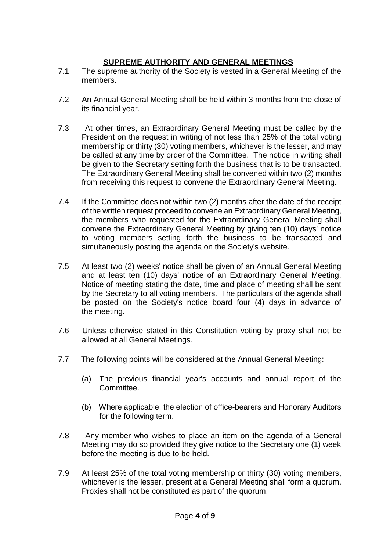# **SUPREME AUTHORITY AND GENERAL MEETINGS**

- 7.1 The supreme authority of the Society is vested in a General Meeting of the members.
- 7.2 An Annual General Meeting shall be held within 3 months from the close of its financial year.
- 7.3 At other times, an Extraordinary General Meeting must be called by the President on the request in writing of not less than 25% of the total voting membership or thirty (30) voting members, whichever is the lesser, and may be called at any time by order of the Committee. The notice in writing shall be given to the Secretary setting forth the business that is to be transacted. The Extraordinary General Meeting shall be convened within two (2) months from receiving this request to convene the Extraordinary General Meeting.
- 7.4 If the Committee does not within two (2) months after the date of the receipt of the written request proceed to convene an Extraordinary General Meeting, the members who requested for the Extraordinary General Meeting shall convene the Extraordinary General Meeting by giving ten (10) days' notice to voting members setting forth the business to be transacted and simultaneously posting the agenda on the Society's website.
- 7.5 At least two (2) weeks' notice shall be given of an Annual General Meeting and at least ten (10) days' notice of an Extraordinary General Meeting. Notice of meeting stating the date, time and place of meeting shall be sent by the Secretary to all voting members. The particulars of the agenda shall be posted on the Society's notice board four (4) days in advance of the meeting.
- 7.6 Unless otherwise stated in this Constitution voting by proxy shall not be allowed at all General Meetings.
- 7.7 The following points will be considered at the Annual General Meeting:
	- (a) The previous financial year's accounts and annual report of the Committee.
	- (b) Where applicable, the election of office-bearers and Honorary Auditors for the following term.
- 7.8 Any member who wishes to place an item on the agenda of a General Meeting may do so provided they give notice to the Secretary one (1) week before the meeting is due to be held.
- 7.9 At least 25% of the total voting membership or thirty (30) voting members, whichever is the lesser, present at a General Meeting shall form a quorum. Proxies shall not be constituted as part of the quorum.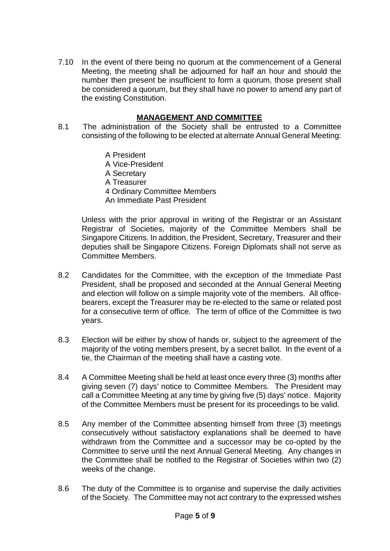7.10 In the event of there being no quorum at the commencement of a General Meeting, the meeting shall be adjourned for half an hour and should the number then present be insufficient to form a quorum, those present shall be considered a quorum, but they shall have no power to amend any part of the existing Constitution.

# **MANAGEMENT AND COMMITTEE**

- 8.1 The administration of the Society shall be entrusted to a Committee consisting of the following to be elected at alternate Annual General Meeting:
	- A President A Vice-President A Secretary A Treasurer 4 Ordinary Committee Members An Immediate Past President

Unless with the prior approval in writing of the Registrar or an Assistant Registrar of Societies, majority of the Committee Members shall be Singapore Citizens. In addition, the President, Secretary, Treasurer and their deputies shall be Singapore Citizens. Foreign Diplomats shall not serve as Committee Members.

- 8.2 Candidates for the Committee, with the exception of the Immediate Past President, shall be proposed and seconded at the Annual General Meeting and election will follow on a simple majority vote of the members. All officebearers, except the Treasurer may be re-elected to the same or related post for a consecutive term of office. The term of office of the Committee is two years.
- 8.3 Election will be either by show of hands or, subject to the agreement of the majority of the voting members present, by a secret ballot. In the event of a tie, the Chairman of the meeting shall have a casting vote.
- 8.4 A Committee Meeting shall be held at least once every three (3) months after giving seven (7) days' notice to Committee Members. The President may call a Committee Meeting at any time by giving five (5) days' notice. Majority of the Committee Members must be present for its proceedings to be valid.
- 8.5 Any member of the Committee absenting himself from three (3) meetings consecutively without satisfactory explanations shall be deemed to have withdrawn from the Committee and a successor may be co-opted by the Committee to serve until the next Annual General Meeting. Any changes in the Committee shall be notified to the Registrar of Societies within two (2) weeks of the change.
- 8.6 The duty of the Committee is to organise and supervise the daily activities of the Society. The Committee may not act contrary to the expressed wishes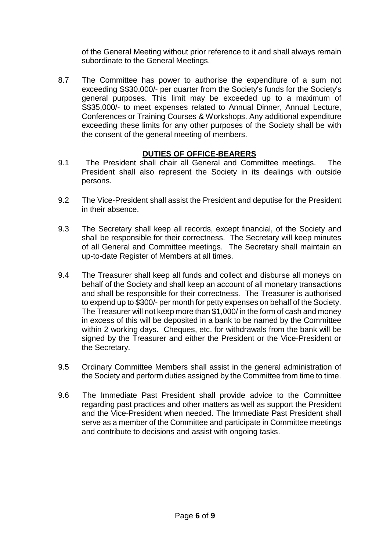of the General Meeting without prior reference to it and shall always remain subordinate to the General Meetings.

8.7 The Committee has power to authorise the expenditure of a sum not exceeding S\$30,000/- per quarter from the Society's funds for the Society's general purposes. This limit may be exceeded up to a maximum of S\$35,000/- to meet expenses related to Annual Dinner, Annual Lecture, Conferences or Training Courses & Workshops. Any additional expenditure exceeding these limits for any other purposes of the Society shall be with the consent of the general meeting of members.

# **DUTIES OF OFFICE-BEARERS**

- 9.1 The President shall chair all General and Committee meetings. The President shall also represent the Society in its dealings with outside persons.
- 9.2 The Vice-President shall assist the President and deputise for the President in their absence.
- 9.3 The Secretary shall keep all records, except financial, of the Society and shall be responsible for their correctness. The Secretary will keep minutes of all General and Committee meetings. The Secretary shall maintain an up-to-date Register of Members at all times.
- 9.4 The Treasurer shall keep all funds and collect and disburse all moneys on behalf of the Society and shall keep an account of all monetary transactions and shall be responsible for their correctness. The Treasurer is authorised to expend up to \$300/- per month for petty expenses on behalf of the Society. The Treasurer will not keep more than \$1,000/ in the form of cash and money in excess of this will be deposited in a bank to be named by the Committee within 2 working days. Cheques, etc. for withdrawals from the bank will be signed by the Treasurer and either the President or the Vice-President or the Secretary.
- 9.5 Ordinary Committee Members shall assist in the general administration of the Society and perform duties assigned by the Committee from time to time.
- 9.6 The Immediate Past President shall provide advice to the Committee regarding past practices and other matters as well as support the President and the Vice-President when needed. The Immediate Past President shall serve as a member of the Committee and participate in Committee meetings and contribute to decisions and assist with ongoing tasks.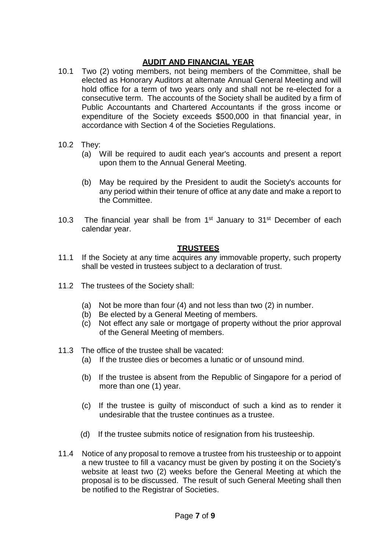## **AUDIT AND FINANCIAL YEAR**

- 10.1 Two (2) voting members, not being members of the Committee, shall be elected as Honorary Auditors at alternate Annual General Meeting and will hold office for a term of two years only and shall not be re-elected for a consecutive term. The accounts of the Society shall be audited by a firm of Public Accountants and Chartered Accountants if the gross income or expenditure of the Society exceeds \$500,000 in that financial year, in accordance with Section 4 of the Societies Regulations.
- 10.2 They:
	- (a) Will be required to audit each year's accounts and present a report upon them to the Annual General Meeting.
	- (b) May be required by the President to audit the Society's accounts for any period within their tenure of office at any date and make a report to the Committee.
- 10.3 The financial year shall be from  $1<sup>st</sup>$  January to  $31<sup>st</sup>$  December of each calendar year.

## **TRUSTEES**

- 11.1 If the Society at any time acquires any immovable property, such property shall be vested in trustees subject to a declaration of trust.
- 11.2 The trustees of the Society shall:
	- (a) Not be more than four (4) and not less than two (2) in number.
	- (b) Be elected by a General Meeting of members.
	- (c) Not effect any sale or mortgage of property without the prior approval of the General Meeting of members.
- 11.3 The office of the trustee shall be vacated:
	- (a) If the trustee dies or becomes a lunatic or of unsound mind.
	- (b) If the trustee is absent from the Republic of Singapore for a period of more than one (1) year.
	- (c) If the trustee is guilty of misconduct of such a kind as to render it undesirable that the trustee continues as a trustee.
	- (d) If the trustee submits notice of resignation from his trusteeship.
- 11.4 Notice of any proposal to remove a trustee from his trusteeship or to appoint a new trustee to fill a vacancy must be given by posting it on the Society's website at least two (2) weeks before the General Meeting at which the proposal is to be discussed. The result of such General Meeting shall then be notified to the Registrar of Societies.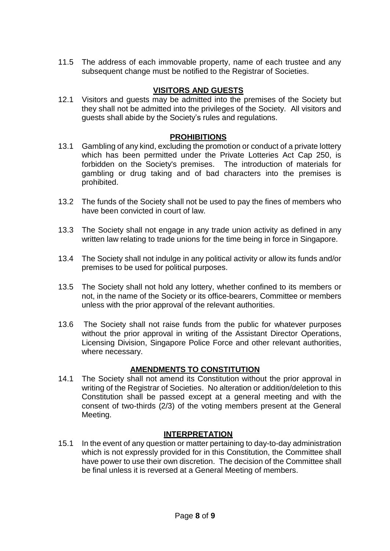11.5 The address of each immovable property, name of each trustee and any subsequent change must be notified to the Registrar of Societies.

## **VISITORS AND GUESTS**

12.1 Visitors and guests may be admitted into the premises of the Society but they shall not be admitted into the privileges of the Society. All visitors and guests shall abide by the Society's rules and regulations.

### **PROHIBITIONS**

- 13.1 Gambling of any kind, excluding the promotion or conduct of a private lottery which has been permitted under the Private Lotteries Act Cap 250, is forbidden on the Society's premises. The introduction of materials for gambling or drug taking and of bad characters into the premises is prohibited.
- 13.2 The funds of the Society shall not be used to pay the fines of members who have been convicted in court of law.
- 13.3 The Society shall not engage in any trade union activity as defined in any written law relating to trade unions for the time being in force in Singapore.
- 13.4 The Society shall not indulge in any political activity or allow its funds and/or premises to be used for political purposes.
- 13.5 The Society shall not hold any lottery, whether confined to its members or not, in the name of the Society or its office-bearers, Committee or members unless with the prior approval of the relevant authorities.
- 13.6 The Society shall not raise funds from the public for whatever purposes without the prior approval in writing of the Assistant Director Operations, Licensing Division, Singapore Police Force and other relevant authorities, where necessary.

### **AMENDMENTS TO CONSTITUTION**

14.1 The Society shall not amend its Constitution without the prior approval in writing of the Registrar of Societies. No alteration or addition/deletion to this Constitution shall be passed except at a general meeting and with the consent of two-thirds (2/3) of the voting members present at the General Meeting.

### **INTERPRETATION**

15.1 In the event of any question or matter pertaining to day-to-day administration which is not expressly provided for in this Constitution, the Committee shall have power to use their own discretion. The decision of the Committee shall be final unless it is reversed at a General Meeting of members.